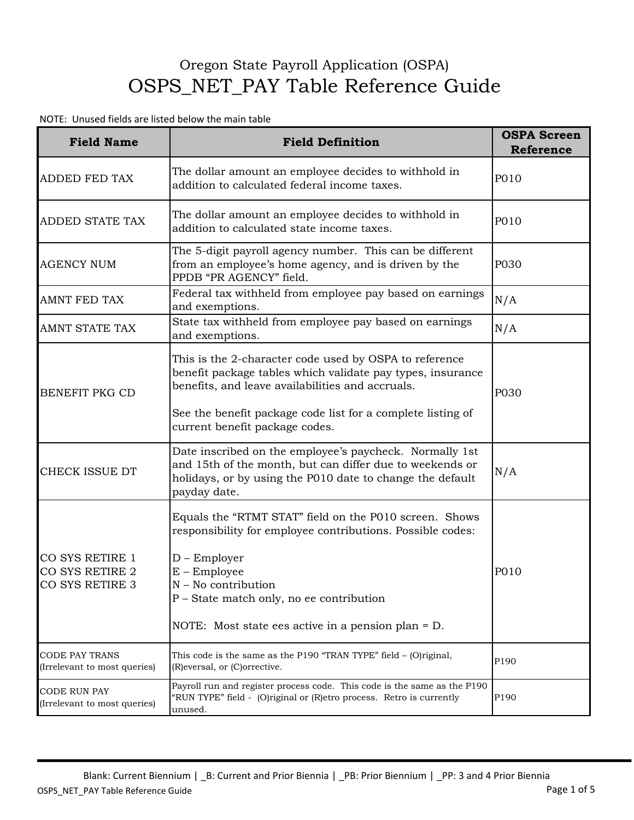## Oregon State Payroll Application (OSPA) OSPS\_NET\_PAY Table Reference Guide

## NOTE: Unused fields are listed below the main table

| <b>Field Name</b>                                     | <b>Field Definition</b>                                                                                                                                                                                                                                                             | <b>OSPA Screen</b><br><b>Reference</b> |
|-------------------------------------------------------|-------------------------------------------------------------------------------------------------------------------------------------------------------------------------------------------------------------------------------------------------------------------------------------|----------------------------------------|
| <b>ADDED FED TAX</b>                                  | The dollar amount an employee decides to withhold in<br>addition to calculated federal income taxes.                                                                                                                                                                                | P010                                   |
| ADDED STATE TAX                                       | The dollar amount an employee decides to withhold in<br>addition to calculated state income taxes.                                                                                                                                                                                  | P010                                   |
| <b>AGENCY NUM</b>                                     | The 5-digit payroll agency number. This can be different<br>from an employee's home agency, and is driven by the<br>PPDB "PR AGENCY" field.                                                                                                                                         | P030                                   |
| AMNT FED TAX                                          | Federal tax withheld from employee pay based on earnings<br>and exemptions.                                                                                                                                                                                                         | N/A                                    |
| <b>AMNT STATE TAX</b>                                 | State tax withheld from employee pay based on earnings<br>and exemptions.                                                                                                                                                                                                           | N/A                                    |
| BENEFIT PKG CD                                        | This is the 2-character code used by OSPA to reference<br>benefit package tables which validate pay types, insurance<br>benefits, and leave availabilities and accruals.<br>See the benefit package code list for a complete listing of<br>current benefit package codes.           | P030                                   |
| CHECK ISSUE DT                                        | Date inscribed on the employee's paycheck. Normally 1st<br>and 15th of the month, but can differ due to weekends or<br>holidays, or by using the P010 date to change the default<br>payday date.                                                                                    | N/A                                    |
| CO SYS RETIRE 1<br>CO SYS RETIRE 2<br>CO SYS RETIRE 3 | Equals the "RTMT STAT" field on the P010 screen. Shows<br>responsibility for employee contributions. Possible codes:<br>$D$ – Employer<br>$E$ – Employee<br>$N - No$ contribution<br>P – State match only, no ee contribution<br>NOTE: Most state ees active in a pension plan = D. | P010                                   |
| <b>CODE PAY TRANS</b><br>(Irrelevant to most queries) | This code is the same as the P190 "TRAN TYPE" field - (O)riginal,<br>(R) eversal, or (C) orrective.                                                                                                                                                                                 | P190                                   |
| <b>CODE RUN PAY</b><br>(Irrelevant to most queries)   | Payroll run and register process code. This code is the same as the P190<br>"RUN TYPE" field - (O)riginal or (R)etro process. Retro is currently<br>unused.                                                                                                                         | P190                                   |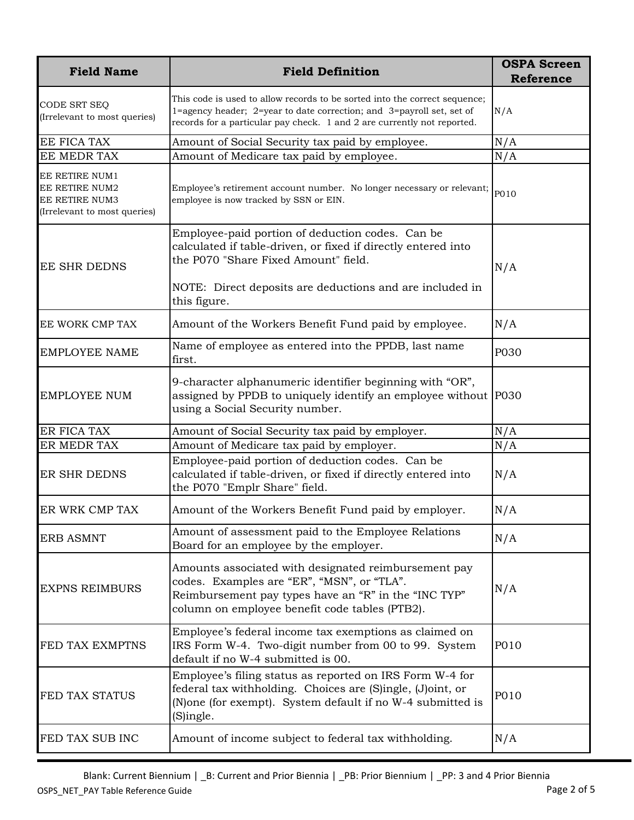| <b>Field Name</b>                                                                  | <b>Field Definition</b>                                                                                                                                                                                                               | <b>OSPA Screen</b><br><b>Reference</b> |
|------------------------------------------------------------------------------------|---------------------------------------------------------------------------------------------------------------------------------------------------------------------------------------------------------------------------------------|----------------------------------------|
| CODE SRT SEQ<br>(Irrelevant to most queries)                                       | This code is used to allow records to be sorted into the correct sequence;<br>1=agency header; 2=year to date correction; and 3=payroll set, set of<br>records for a particular pay check. 1 and 2 are currently not reported.        | N/A                                    |
| EE FICA TAX                                                                        | Amount of Social Security tax paid by employee.                                                                                                                                                                                       | N/A                                    |
| EE MEDR TAX                                                                        | Amount of Medicare tax paid by employee.                                                                                                                                                                                              | N/A                                    |
| EE RETIRE NUM1<br>EE RETIRE NUM2<br>EE RETIRE NUM3<br>(Irrelevant to most queries) | Employee's retirement account number. No longer necessary or relevant;<br>employee is now tracked by SSN or EIN.                                                                                                                      | P010                                   |
| <b>EE SHR DEDNS</b>                                                                | Employee-paid portion of deduction codes. Can be<br>calculated if table-driven, or fixed if directly entered into<br>the P070 "Share Fixed Amount" field.<br>NOTE: Direct deposits are deductions and are included in<br>this figure. | N/A                                    |
| EE WORK CMP TAX                                                                    | Amount of the Workers Benefit Fund paid by employee.                                                                                                                                                                                  | N/A                                    |
| <b>EMPLOYEE NAME</b>                                                               | Name of employee as entered into the PPDB, last name<br>first.                                                                                                                                                                        | P030                                   |
| <b>EMPLOYEE NUM</b>                                                                | 9-character alphanumeric identifier beginning with "OR",<br>assigned by PPDB to uniquely identify an employee without P030<br>using a Social Security number.                                                                         |                                        |
| ER FICA TAX                                                                        | Amount of Social Security tax paid by employer.                                                                                                                                                                                       | N/A                                    |
| ER MEDR TAX                                                                        | Amount of Medicare tax paid by employer.                                                                                                                                                                                              | N/A                                    |
| ER SHR DEDNS                                                                       | Employee-paid portion of deduction codes. Can be<br>calculated if table-driven, or fixed if directly entered into<br>the P070 "Emplr Share" field.                                                                                    | N/A                                    |
| ER WRK CMP TAX                                                                     | Amount of the Workers Benefit Fund paid by employer.                                                                                                                                                                                  | N/A                                    |
| <b>ERB ASMNT</b>                                                                   | Amount of assessment paid to the Employee Relations<br>Board for an employee by the employer.                                                                                                                                         | N/A                                    |
| <b>EXPNS REIMBURS</b>                                                              | Amounts associated with designated reimbursement pay<br>codes. Examples are "ER", "MSN", or "TLA".<br>Reimbursement pay types have an "R" in the "INC TYP"<br>column on employee benefit code tables (PTB2).                          | N/A                                    |
| FED TAX EXMPTNS                                                                    | Employee's federal income tax exemptions as claimed on<br>IRS Form W-4. Two-digit number from 00 to 99. System<br>default if no W-4 submitted is 00.                                                                                  | P010                                   |
| FED TAX STATUS                                                                     | Employee's filing status as reported on IRS Form W-4 for<br>federal tax withholding. Choices are (S)ingle, (J)oint, or<br>(N) one (for exempt). System default if no W-4 submitted is<br>(S)ingle.                                    | P010                                   |
| FED TAX SUB INC                                                                    | Amount of income subject to federal tax withholding.                                                                                                                                                                                  | N/A                                    |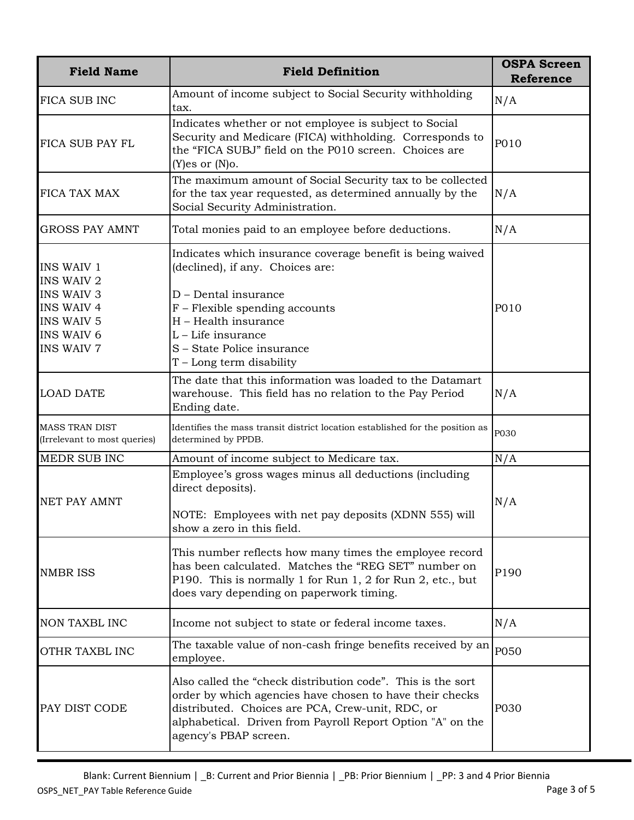| <b>Field Name</b>                                                                                                                               | <b>Field Definition</b>                                                                                                                                                                                                                                            | <b>OSPA Screen</b><br><b>Reference</b> |
|-------------------------------------------------------------------------------------------------------------------------------------------------|--------------------------------------------------------------------------------------------------------------------------------------------------------------------------------------------------------------------------------------------------------------------|----------------------------------------|
| FICA SUB INC                                                                                                                                    | Amount of income subject to Social Security withholding<br>tax.                                                                                                                                                                                                    | N/A                                    |
| FICA SUB PAY FL                                                                                                                                 | Indicates whether or not employee is subject to Social<br>Security and Medicare (FICA) withholding. Corresponds to<br>the "FICA SUBJ" field on the P010 screen. Choices are<br>$(Y)$ es or $(N)$ o.                                                                | P010                                   |
| FICA TAX MAX                                                                                                                                    | The maximum amount of Social Security tax to be collected<br>for the tax year requested, as determined annually by the<br>Social Security Administration.                                                                                                          | N/A                                    |
| <b>GROSS PAY AMNT</b>                                                                                                                           | Total monies paid to an employee before deductions.                                                                                                                                                                                                                | N/A                                    |
| <b>INS WAIV 1</b><br><b>INS WAIV 2</b><br><b>INS WAIV 3</b><br><b>INS WAIV 4</b><br><b>INS WAIV 5</b><br><b>INS WAIV 6</b><br><b>INS WAIV 7</b> | Indicates which insurance coverage benefit is being waived<br>(declined), if any. Choices are:<br>D - Dental insurance<br>F - Flexible spending accounts<br>H - Health insurance<br>L - Life insurance<br>S - State Police insurance<br>T – Long term disability   | P010                                   |
| <b>LOAD DATE</b>                                                                                                                                | The date that this information was loaded to the Datamart<br>warehouse. This field has no relation to the Pay Period<br>Ending date.                                                                                                                               | N/A                                    |
| <b>MASS TRAN DIST</b><br>(Irrelevant to most queries)                                                                                           | Identifies the mass transit district location established for the position as<br>determined by PPDB.                                                                                                                                                               | P030                                   |
| MEDR SUB INC                                                                                                                                    | Amount of income subject to Medicare tax.                                                                                                                                                                                                                          | N/A                                    |
| <b>NET PAY AMNT</b>                                                                                                                             | Employee's gross wages minus all deductions (including<br>direct deposits).<br>NOTE: Employees with net pay deposits (XDNN 555) will<br>show a zero in this field.                                                                                                 | N/A                                    |
| <b>NMBR ISS</b>                                                                                                                                 | This number reflects how many times the employee record<br>has been calculated. Matches the "REG SET" number on<br>P190. This is normally 1 for Run 1, 2 for Run 2, etc., but<br>does vary depending on paperwork timing.                                          | P190                                   |
| NON TAXBL INC                                                                                                                                   | Income not subject to state or federal income taxes.                                                                                                                                                                                                               | N/A                                    |
| OTHR TAXBL INC                                                                                                                                  | The taxable value of non-cash fringe benefits received by an<br>employee.                                                                                                                                                                                          | P050                                   |
| PAY DIST CODE                                                                                                                                   | Also called the "check distribution code". This is the sort<br>order by which agencies have chosen to have their checks<br>distributed. Choices are PCA, Crew-unit, RDC, or<br>alphabetical. Driven from Payroll Report Option "A" on the<br>agency's PBAP screen. | P030                                   |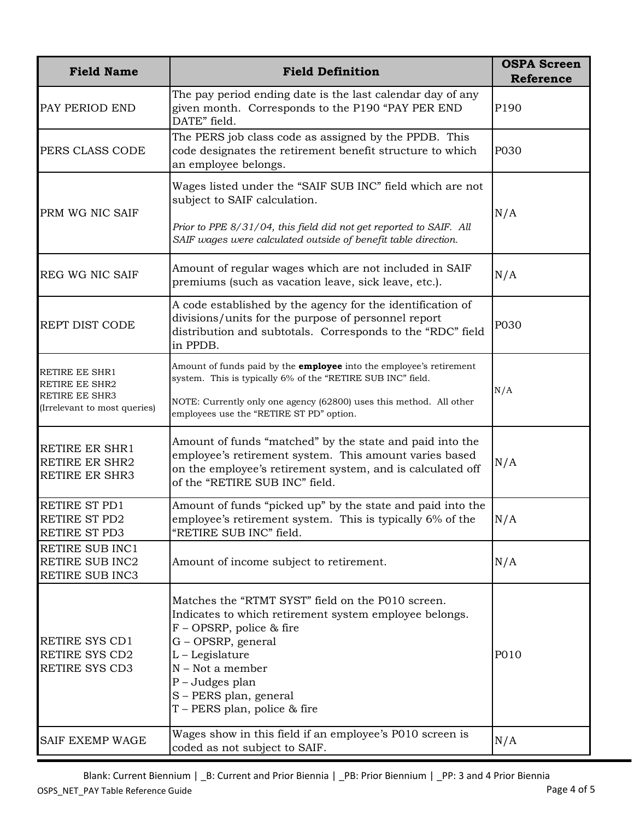| <b>Field Name</b>                                                                                | <b>Field Definition</b>                                                                                                                                                                                                                                                                | <b>OSPA Screen</b><br><b>Reference</b> |
|--------------------------------------------------------------------------------------------------|----------------------------------------------------------------------------------------------------------------------------------------------------------------------------------------------------------------------------------------------------------------------------------------|----------------------------------------|
| PAY PERIOD END                                                                                   | The pay period ending date is the last calendar day of any<br>given month. Corresponds to the P190 "PAY PER END<br>DATE" field.                                                                                                                                                        | P190                                   |
| PERS CLASS CODE                                                                                  | The PERS job class code as assigned by the PPDB. This<br>code designates the retirement benefit structure to which<br>an employee belongs.                                                                                                                                             | P030                                   |
| PRM WG NIC SAIF                                                                                  | Wages listed under the "SAIF SUB INC" field which are not<br>subject to SAIF calculation.<br>Prior to PPE 8/31/04, this field did not get reported to SAIF. All<br>SAIF wages were calculated outside of benefit table direction.                                                      | N/A                                    |
| <b>REG WG NIC SAIF</b>                                                                           | Amount of regular wages which are not included in SAIF<br>premiums (such as vacation leave, sick leave, etc.).                                                                                                                                                                         | N/A                                    |
| <b>REPT DIST CODE</b>                                                                            | A code established by the agency for the identification of<br>divisions/units for the purpose of personnel report<br>distribution and subtotals. Corresponds to the "RDC" field<br>in PPDB.                                                                                            | P030                                   |
| RETIRE EE SHR1<br><b>RETIRE EE SHR2</b><br><b>RETIRE EE SHR3</b><br>(Irrelevant to most queries) | Amount of funds paid by the <b>employee</b> into the employee's retirement<br>system. This is typically 6% of the "RETIRE SUB INC" field.<br>NOTE: Currently only one agency (62800) uses this method. All other<br>employees use the "RETIRE ST PD" option.                           | N/A                                    |
| RETIRE ER SHR1<br>RETIRE ER SHR2<br><b>RETIRE ER SHR3</b>                                        | Amount of funds "matched" by the state and paid into the<br>employee's retirement system. This amount varies based<br>on the employee's retirement system, and is calculated off<br>of the "RETIRE SUB INC" field.                                                                     | N/A                                    |
| RETIRE ST PD1<br>RETIRE ST PD2<br>RETIRE ST PD3                                                  | Amount of funds "picked up" by the state and paid into the<br>employee's retirement system. This is typically 6% of the<br>"RETIRE SUB INC" field.                                                                                                                                     | N/A                                    |
| <b>RETIRE SUB INC1</b><br><b>RETIRE SUB INC2</b><br>RETIRE SUB INC3                              | Amount of income subject to retirement.                                                                                                                                                                                                                                                | N/A                                    |
| RETIRE SYS CD1<br>RETIRE SYS CD2<br>RETIRE SYS CD3                                               | Matches the "RTMT SYST" field on the P010 screen.<br>Indicates to which retirement system employee belongs.<br>$F - OP$ SRP, police & fire<br>G - OPSRP, general<br>L-Legislature<br>$N - Not$ a member<br>$P$ – Judges plan<br>S - PERS plan, general<br>T - PERS plan, police & fire | P010                                   |
| SAIF EXEMP WAGE                                                                                  | Wages show in this field if an employee's P010 screen is<br>coded as not subject to SAIF.                                                                                                                                                                                              | N/A                                    |